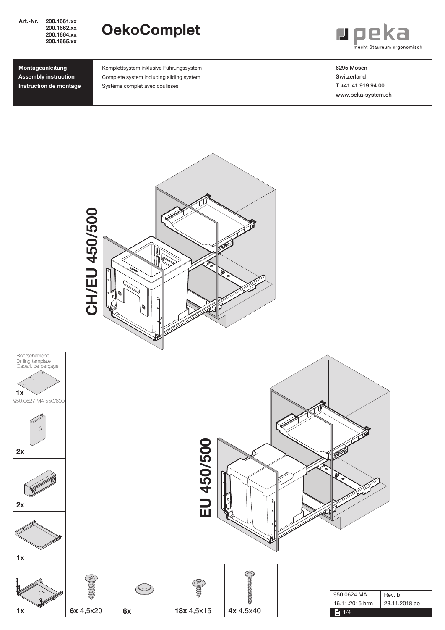| Art.-Nr.<br>200.1661.xx<br>200.1662.xx<br>200.1664.xx<br>200.1665.xx      | <b>OekoComplet</b>                                                                                                    | $\blacksquare$ peka<br>macht Stauraum ergonomisch                    |
|---------------------------------------------------------------------------|-----------------------------------------------------------------------------------------------------------------------|----------------------------------------------------------------------|
| Montageanleitung<br><b>Assembly instruction</b><br>Instruction de montage | Komplettsystem inklusive Führungssystem<br>Complete system including sliding system<br>Système complet avec coulisses | 6295 Mosen<br>Switzerland<br>T+41 41 919 94 00<br>www.peka-system.ch |

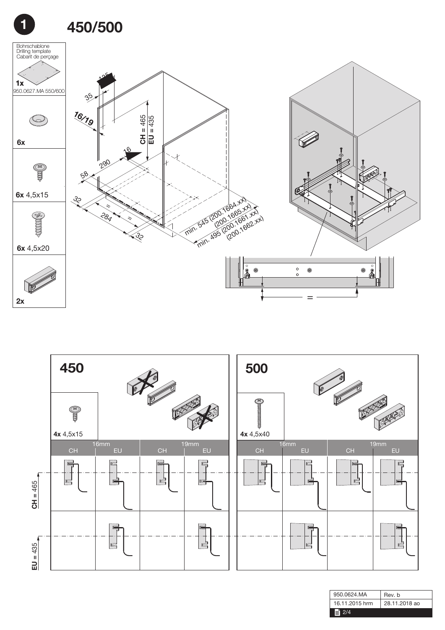





| 950.0624.MA    | Rev. b        |
|----------------|---------------|
| 16.11.2015 hrm | 28.11.2018 ao |
| l≣l            |               |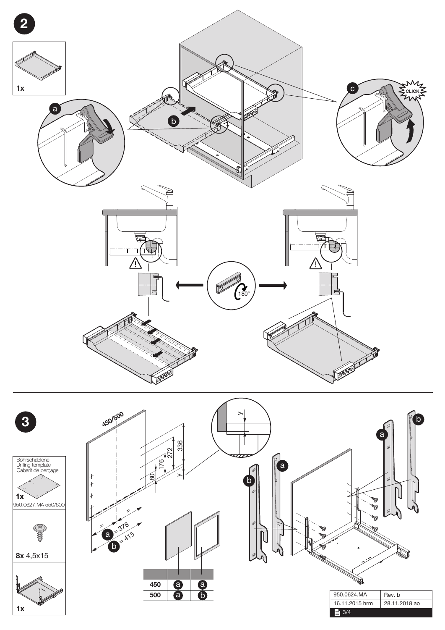